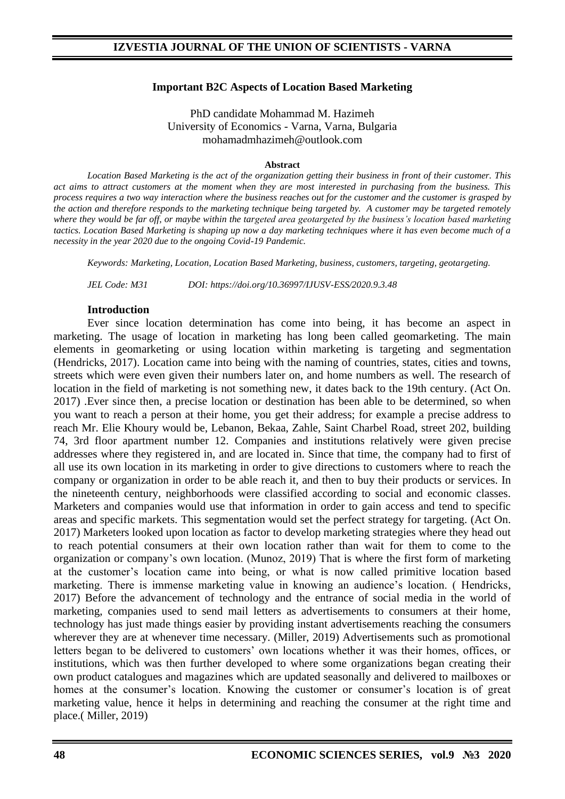#### **Important B2C Aspects of Location Based Marketing**

PhD candidate Mohammad M. Hazimeh University of Economics - Varna, Varna, Bulgaria mohamadmhazimeh@outlook.com

#### **Abstract**

*Location Based Marketing is the act of the organization getting their business in front of their customer. This act aims to attract customers at the moment when they are most interested in purchasing from the business. This process requires a two way interaction where the business reaches out for the customer and the customer is grasped by the action and therefore responds to the marketing technique being targeted by. A customer may be targeted remotely where they would be far off, or maybe within the targeted area geotargeted by the business's location based marketing tactics. Location Based Marketing is shaping up now a day marketing techniques where it has even become much of a necessity in the year 2020 due to the ongoing Covid-19 Pandemic.*

*Keywords: Marketing, Location, Location Based Marketing, business, customers, targeting, geotargeting.* 

*JEL Code: M31 DOI: https://doi.org/10.36997/IJUSV-ESS/2020.9.3.48*

#### **Introduction**

Ever since location determination has come into being, it has become an aspect in marketing. The usage of location in marketing has long been called geomarketing. The main elements in geomarketing or using location within marketing is targeting and segmentation (Hendricks, 2017). Location came into being with the naming of countries, states, cities and towns, streets which were even given their numbers later on, and home numbers as well. The research of location in the field of marketing is not something new, it dates back to the 19th century. (Act On. 2017) .Ever since then, a precise location or destination has been able to be determined, so when you want to reach a person at their home, you get their address; for example a precise address to reach Mr. Elie Khoury would be, Lebanon, Bekaa, Zahle, Saint Charbel Road, street 202, building 74, 3rd floor apartment number 12. Companies and institutions relatively were given precise addresses where they registered in, and are located in. Since that time, the company had to first of all use its own location in its marketing in order to give directions to customers where to reach the company or organization in order to be able reach it, and then to buy their products or services. In the nineteenth century, neighborhoods were classified according to social and economic classes. Marketers and companies would use that information in order to gain access and tend to specific areas and specific markets. This segmentation would set the perfect strategy for targeting. (Act On. 2017) Marketers looked upon location as factor to develop marketing strategies where they head out to reach potential consumers at their own location rather than wait for them to come to the organization or company's own location. (Munoz, 2019) That is where the first form of marketing at the customer's location came into being, or what is now called primitive location based marketing. There is immense marketing value in knowing an audience's location. ( Hendricks, 2017) Before the advancement of technology and the entrance of social media in the world of marketing, companies used to send mail letters as advertisements to consumers at their home, technology has just made things easier by providing instant advertisements reaching the consumers wherever they are at whenever time necessary. (Miller, 2019) Advertisements such as promotional letters began to be delivered to customers' own locations whether it was their homes, offices, or institutions, which was then further developed to where some organizations began creating their own product catalogues and magazines which are updated seasonally and delivered to mailboxes or homes at the consumer's location. Knowing the customer or consumer's location is of great marketing value, hence it helps in determining and reaching the consumer at the right time and place.( Miller, 2019)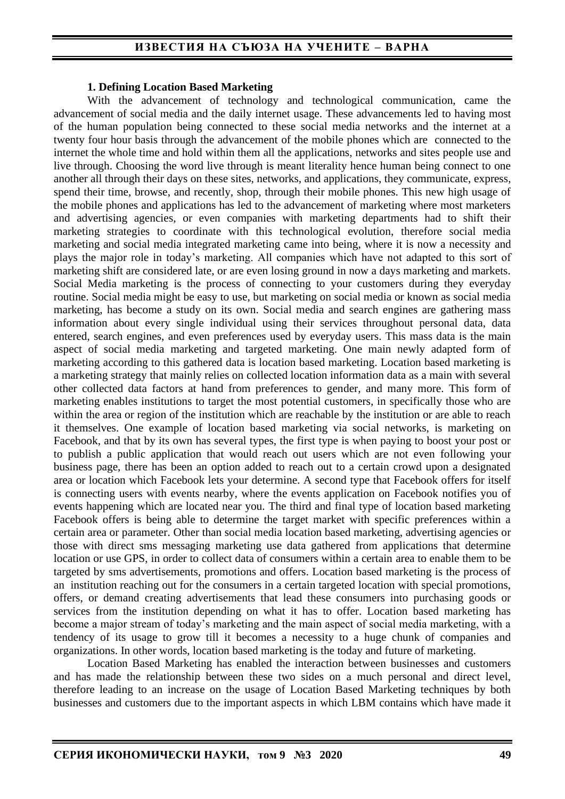#### **1. Defining Location Based Marketing**

With the advancement of technology and technological communication, came the advancement of social media and the daily internet usage. These advancements led to having most of the human population being connected to these social media networks and the internet at a twenty four hour basis through the advancement of the mobile phones which are connected to the internet the whole time and hold within them all the applications, networks and sites people use and live through. Choosing the word live through is meant literality hence human being connect to one another all through their days on these sites, networks, and applications, they communicate, express, spend their time, browse, and recently, shop, through their mobile phones. This new high usage of the mobile phones and applications has led to the advancement of marketing where most marketers and advertising agencies, or even companies with marketing departments had to shift their marketing strategies to coordinate with this technological evolution, therefore social media marketing and social media integrated marketing came into being, where it is now a necessity and plays the major role in today's marketing. All companies which have not adapted to this sort of marketing shift are considered late, or are even losing ground in now a days marketing and markets. Social Media marketing is the process of connecting to your customers during they everyday routine. Social media might be easy to use, but marketing on social media or known as social media marketing, has become a study on its own. Social media and search engines are gathering mass information about every single individual using their services throughout personal data, data entered, search engines, and even preferences used by everyday users. This mass data is the main aspect of social media marketing and targeted marketing. One main newly adapted form of marketing according to this gathered data is location based marketing. Location based marketing is a marketing strategy that mainly relies on collected location information data as a main with several other collected data factors at hand from preferences to gender, and many more. This form of marketing enables institutions to target the most potential customers, in specifically those who are within the area or region of the institution which are reachable by the institution or are able to reach it themselves. One example of location based marketing via social networks, is marketing on Facebook, and that by its own has several types, the first type is when paying to boost your post or to publish a public application that would reach out users which are not even following your business page, there has been an option added to reach out to a certain crowd upon a designated area or location which Facebook lets your determine. A second type that Facebook offers for itself is connecting users with events nearby, where the events application on Facebook notifies you of events happening which are located near you. The third and final type of location based marketing Facebook offers is being able to determine the target market with specific preferences within a certain area or parameter. Other than social media location based marketing, advertising agencies or those with direct sms messaging marketing use data gathered from applications that determine location or use GPS, in order to collect data of consumers within a certain area to enable them to be targeted by sms advertisements, promotions and offers. Location based marketing is the process of an institution reaching out for the consumers in a certain targeted location with special promotions, offers, or demand creating advertisements that lead these consumers into purchasing goods or services from the institution depending on what it has to offer. Location based marketing has become a major stream of today's marketing and the main aspect of social media marketing, with a tendency of its usage to grow till it becomes a necessity to a huge chunk of companies and organizations. In other words, location based marketing is the today and future of marketing.

Location Based Marketing has enabled the interaction between businesses and customers and has made the relationship between these two sides on a much personal and direct level, therefore leading to an increase on the usage of Location Based Marketing techniques by both businesses and customers due to the important aspects in which LBM contains which have made it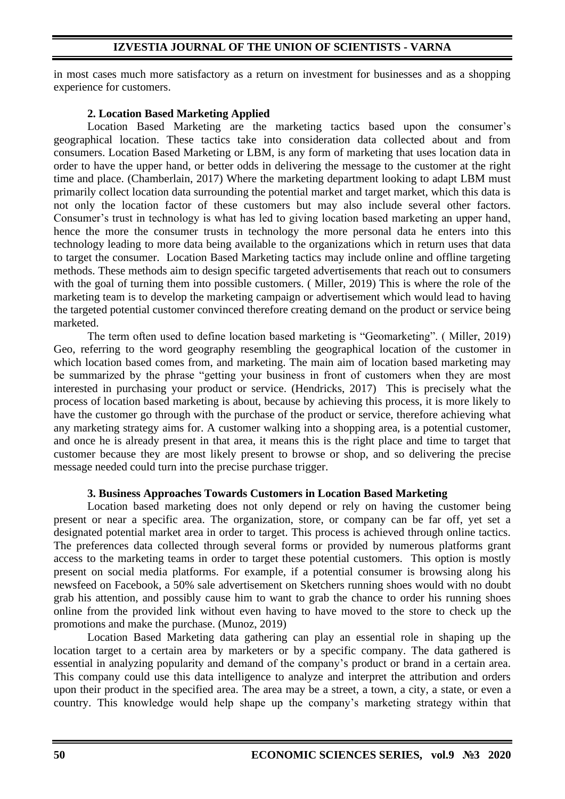in most cases much more satisfactory as a return on investment for businesses and as a shopping experience for customers.

# **2. Location Based Marketing Applied**

Location Based Marketing are the marketing tactics based upon the consumer's geographical location. These tactics take into consideration data collected about and from consumers. Location Based Marketing or LBM, is any form of marketing that uses location data in order to have the upper hand, or better odds in delivering the message to the customer at the right time and place. (Chamberlain, 2017) Where the marketing department looking to adapt LBM must primarily collect location data surrounding the potential market and target market, which this data is not only the location factor of these customers but may also include several other factors. Consumer's trust in technology is what has led to giving location based marketing an upper hand, hence the more the consumer trusts in technology the more personal data he enters into this technology leading to more data being available to the organizations which in return uses that data to target the consumer. Location Based Marketing tactics may include online and offline targeting methods. These methods aim to design specific targeted advertisements that reach out to consumers with the goal of turning them into possible customers. ( Miller, 2019) This is where the role of the marketing team is to develop the marketing campaign or advertisement which would lead to having the targeted potential customer convinced therefore creating demand on the product or service being marketed.

The term often used to define location based marketing is "Geomarketing". ( Miller, 2019) Geo, referring to the word geography resembling the geographical location of the customer in which location based comes from, and marketing. The main aim of location based marketing may be summarized by the phrase "getting your business in front of customers when they are most interested in purchasing your product or service. (Hendricks, 2017) This is precisely what the process of location based marketing is about, because by achieving this process, it is more likely to have the customer go through with the purchase of the product or service, therefore achieving what any marketing strategy aims for. A customer walking into a shopping area, is a potential customer, and once he is already present in that area, it means this is the right place and time to target that customer because they are most likely present to browse or shop, and so delivering the precise message needed could turn into the precise purchase trigger.

# **3. Business Approaches Towards Customers in Location Based Marketing**

Location based marketing does not only depend or rely on having the customer being present or near a specific area. The organization, store, or company can be far off, yet set a designated potential market area in order to target. This process is achieved through online tactics. The preferences data collected through several forms or provided by numerous platforms grant access to the marketing teams in order to target these potential customers. This option is mostly present on social media platforms. For example, if a potential consumer is browsing along his newsfeed on Facebook, a 50% sale advertisement on Sketchers running shoes would with no doubt grab his attention, and possibly cause him to want to grab the chance to order his running shoes online from the provided link without even having to have moved to the store to check up the promotions and make the purchase. (Munoz, 2019)

Location Based Marketing data gathering can play an essential role in shaping up the location target to a certain area by marketers or by a specific company. The data gathered is essential in analyzing popularity and demand of the company's product or brand in a certain area. This company could use this data intelligence to analyze and interpret the attribution and orders upon their product in the specified area. The area may be a street, a town, a city, a state, or even a country. This knowledge would help shape up the company's marketing strategy within that